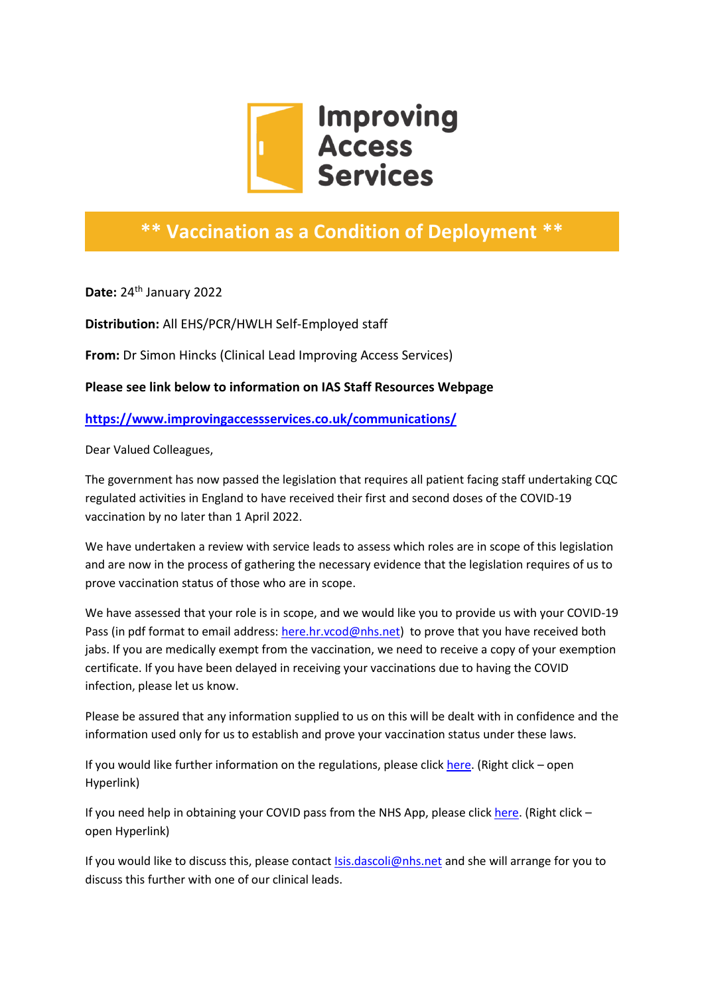

## **\*\* Vaccination as a Condition of Deployment \*\***

**Date:** 24th January 2022

**Distribution:** All EHS/PCR/HWLH Self-Employed staff

**From:** Dr Simon Hincks (Clinical Lead Improving Access Services)

**Please see link below to information on IAS Staff Resources Webpage**

**<https://www.improvingaccessservices.co.uk/communications/>**

Dear Valued Colleagues,

The government has now passed the legislation that requires all patient facing staff undertaking CQC regulated activities in England to have received their first and second doses of the COVID-19 vaccination by no later than 1 April 2022.

We have undertaken a review with service leads to assess which roles are in scope of this legislation and are now in the process of gathering the necessary evidence that the legislation requires of us to prove vaccination status of those who are in scope.

We have assessed that your role is in scope, and we would like you to provide us with your COVID-19 Pass (in pdf format to email address: [here.hr.vcod@nhs.net\)](mailto:here.hr.vcod@nhs.net) to prove that you have received both jabs. If you are medically exempt from the vaccination, we need to receive a copy of your exemption certificate. If you have been delayed in receiving your vaccinations due to having the COVID infection, please let us know.

Please be assured that any information supplied to us on this will be dealt with in confidence and the information used only for us to establish and prove your vaccination status under these laws.

If you would like further information on the regulations, please click [here.](https://www.england.nhs.uk/coronavirus/wp-content/uploads/sites/52/2021/12/C1471-vcod-for-all-healthcare-workers-update-letter.pdf) (Right click – open Hyperlink)

If you need help in obtaining your COVID pass from the NHS App, please click [here.](https://www.nhs.uk/conditions/coronavirus-covid-19/covid-pass/) (Right click – open Hyperlink)

If you would like to discuss this, please contact [Isis.dascoli@nhs.net](mailto:Isis.dascoli@nhs.net) and she will arrange for you to discuss this further with one of our clinical leads.